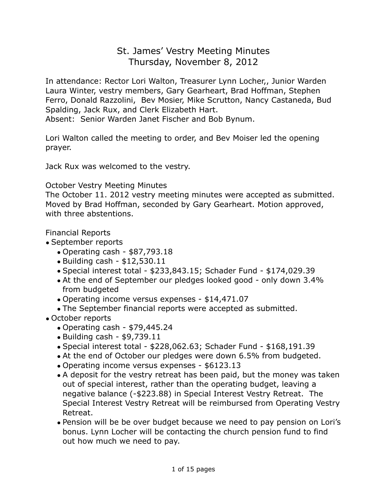# St. James' Vestry Meeting Minutes Thursday, November 8, 2012

In attendance: Rector Lori Walton, Treasurer Lynn Locher,, Junior Warden Laura Winter, vestry members, Gary Gearheart, Brad Hoffman, Stephen Ferro, Donald Razzolini, Bev Mosier, Mike Scrutton, Nancy Castaneda, Bud Spalding, Jack Rux, and Clerk Elizabeth Hart.

Absent: Senior Warden Janet Fischer and Bob Bynum.

Lori Walton called the meeting to order, and Bev Moiser led the opening prayer.

Jack Rux was welcomed to the vestry.

#### October Vestry Meeting Minutes

The October 11. 2012 vestry meeting minutes were accepted as submitted. Moved by Brad Hoffman, seconded by Gary Gearheart. Motion approved, with three abstentions.

#### Financial Reports

- September reports
	- Operating cash \$87,793.18
	- Building cash \$12,530.11
	- Special interest total \$233,843.15; Schader Fund \$174,029.39
	- At the end of September our pledges looked good only down 3.4% from budgeted
	- Operating income versus expenses \$14,471.07
	- The September financial reports were accepted as submitted.
- October reports
	- Operating cash \$79,445.24
	- Building cash \$9,739.11
	- Special interest total \$228,062.63; Schader Fund \$168,191.39
	- At the end of October our pledges were down 6.5% from budgeted.
	- Operating income versus expenses \$6123.13
	- A deposit for the vestry retreat has been paid, but the money was taken out of special interest, rather than the operating budget, leaving a negative balance (-\$223.88) in Special Interest Vestry Retreat. The Special Interest Vestry Retreat will be reimbursed from Operating Vestry Retreat.
	- Pension will be be over budget because we need to pay pension on Lori's bonus. Lynn Locher will be contacting the church pension fund to find out how much we need to pay.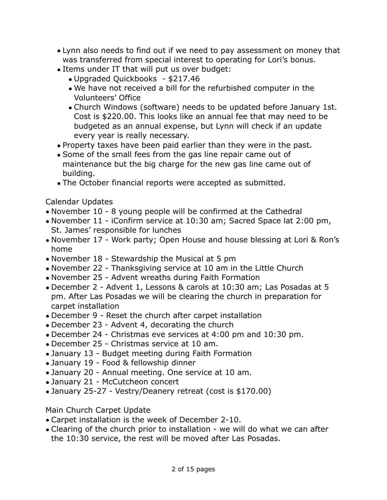- Lynn also needs to find out if we need to pay assessment on money that was transferred from special interest to operating for Lori's bonus.
- Items under IT that will put us over budget:
	- Upgraded Quickbooks \$217.46
	- We have not received a bill for the refurbished computer in the Volunteers' Office
	- Church Windows (software) needs to be updated before January 1st. Cost is \$220.00. This looks like an annual fee that may need to be budgeted as an annual expense, but Lynn will check if an update every year is really necessary.
- Property taxes have been paid earlier than they were in the past.
- Some of the small fees from the gas line repair came out of maintenance but the big charge for the new gas line came out of building.
- The October financial reports were accepted as submitted.

Calendar Updates

- November 10 8 young people will be confirmed at the Cathedral
- November 11 iConfirm service at 10:30 am; Sacred Space lat 2:00 pm, St. James' responsible for lunches
- November 17 Work party; Open House and house blessing at Lori & Ron's home
- November 18 Stewardship the Musical at 5 pm
- November 22 Thanksgiving service at 10 am in the Little Church
- November 25 Advent wreaths during Faith Formation
- December 2 Advent 1, Lessons & carols at 10:30 am; Las Posadas at 5 pm. After Las Posadas we will be clearing the church in preparation for carpet installation
- December 9 Reset the church after carpet installation
- December 23 Advent 4, decorating the church
- December 24 Christmas eve services at 4:00 pm and 10:30 pm.
- December 25 Christmas service at 10 am.
- January 13 Budget meeting during Faith Formation
- January 19 Food & fellowship dinner
- January 20 Annual meeting. One service at 10 am.
- January 21 McCutcheon concert
- January 25-27 Vestry/Deanery retreat (cost is \$170.00)

## Main Church Carpet Update

- Carpet installation is the week of December 2-10.
- Clearing of the church prior to installation we will do what we can after the 10:30 service, the rest will be moved after Las Posadas.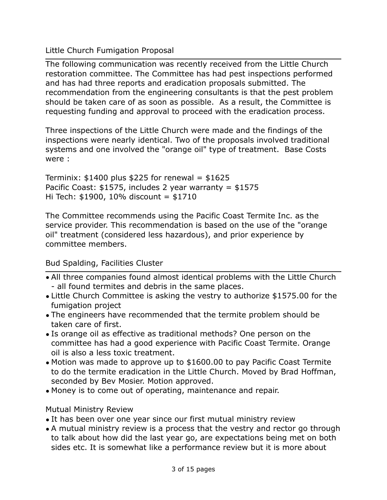Little Church Fumigation Proposal

The following communication was recently received from the Little Church restoration committee. The Committee has had pest inspections performed and has had three reports and eradication proposals submitted. The recommendation from the engineering consultants is that the pest problem should be taken care of as soon as possible. As a result, the Committee is requesting funding and approval to proceed with the eradication process.

Three inspections of the Little Church were made and the findings of the inspections were nearly identical. Two of the proposals involved traditional systems and one involved the "orange oil" type of treatment. Base Costs were :

Terminix:  $$1400$  plus  $$225$  for renewal =  $$1625$ Pacific Coast:  $$1575$ , includes 2 year warranty =  $$1575$ Hi Tech: \$1900, 10% discount = \$1710

The Committee recommends using the Pacific Coast Termite Inc. as the service provider. This recommendation is based on the use of the "orange oil" treatment (considered less hazardous), and prior experience by committee members.

Bud Spalding, Facilities Cluster

- All three companies found almost identical problems with the Little Church - all found termites and debris in the same places.
- Little Church Committee is asking the vestry to authorize \$1575.00 for the fumigation project
- The engineers have recommended that the termite problem should be taken care of first.
- Is orange oil as effective as traditional methods? One person on the committee has had a good experience with Pacific Coast Termite. Orange oil is also a less toxic treatment.
- Motion was made to approve up to \$1600.00 to pay Pacific Coast Termite to do the termite eradication in the Little Church. Moved by Brad Hoffman, seconded by Bev Mosier. Motion approved.
- Money is to come out of operating, maintenance and repair.

## Mutual Ministry Review

- It has been over one year since our first mutual ministry review
- A mutual ministry review is a process that the vestry and rector go through to talk about how did the last year go, are expectations being met on both sides etc. It is somewhat like a performance review but it is more about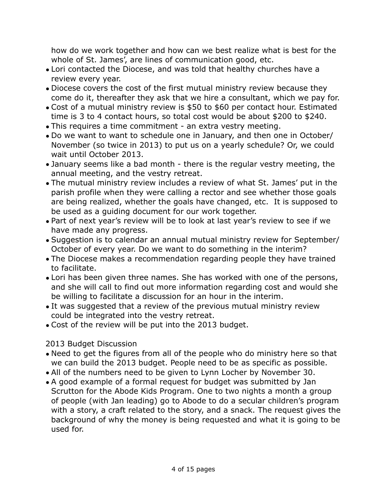how do we work together and how can we best realize what is best for the whole of St. James', are lines of communication good, etc.

- Lori contacted the Diocese, and was told that healthy churches have a review every year.
- Diocese covers the cost of the first mutual ministry review because they come do it, thereafter they ask that we hire a consultant, which we pay for.
- Cost of a mutual ministry review is \$50 to \$60 per contact hour. Estimated time is 3 to 4 contact hours, so total cost would be about \$200 to \$240.
- This requires a time commitment an extra vestry meeting.
- Do we want to want to schedule one in January, and then one in October/ November (so twice in 2013) to put us on a yearly schedule? Or, we could wait until October 2013.
- January seems like a bad month there is the regular vestry meeting, the annual meeting, and the vestry retreat.
- The mutual ministry review includes a review of what St. James' put in the parish profile when they were calling a rector and see whether those goals are being realized, whether the goals have changed, etc. It is supposed to be used as a guiding document for our work together.
- Part of next year's review will be to look at last year's review to see if we have made any progress.
- Suggestion is to calendar an annual mutual ministry review for September/ October of every year. Do we want to do something in the interim?
- The Diocese makes a recommendation regarding people they have trained to facilitate.
- Lori has been given three names. She has worked with one of the persons, and she will call to find out more information regarding cost and would she be willing to facilitate a discussion for an hour in the interim.
- It was suggested that a review of the previous mutual ministry review could be integrated into the vestry retreat.
- Cost of the review will be put into the 2013 budget.

## 2013 Budget Discussion

- Need to get the figures from all of the people who do ministry here so that we can build the 2013 budget. People need to be as specific as possible.
- All of the numbers need to be given to Lynn Locher by November 30.
- A good example of a formal request for budget was submitted by Jan Scrutton for the Abode Kids Program. One to two nights a month a group of people (with Jan leading) go to Abode to do a secular children's program with a story, a craft related to the story, and a snack. The request gives the background of why the money is being requested and what it is going to be used for.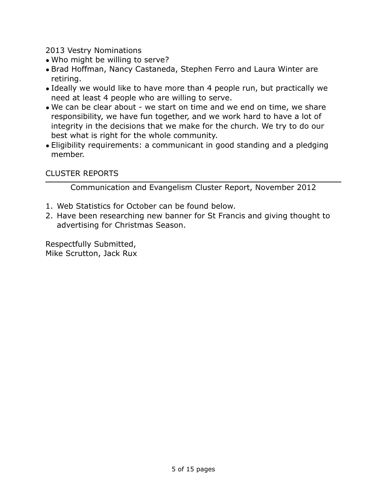2013 Vestry Nominations

- Who might be willing to serve?
- Brad Hoffman, Nancy Castaneda, Stephen Ferro and Laura Winter are retiring.
- Ideally we would like to have more than 4 people run, but practically we need at least 4 people who are willing to serve.
- We can be clear about we start on time and we end on time, we share responsibility, we have fun together, and we work hard to have a lot of integrity in the decisions that we make for the church. We try to do our best what is right for the whole community.
- Eligibility requirements: a communicant in good standing and a pledging member.

### CLUSTER REPORTS

Communication and Evangelism Cluster Report, November 2012

- 1. Web Statistics for October can be found below.
- 2. Have been researching new banner for St Francis and giving thought to advertising for Christmas Season.

Respectfully Submitted, Mike Scrutton, Jack Rux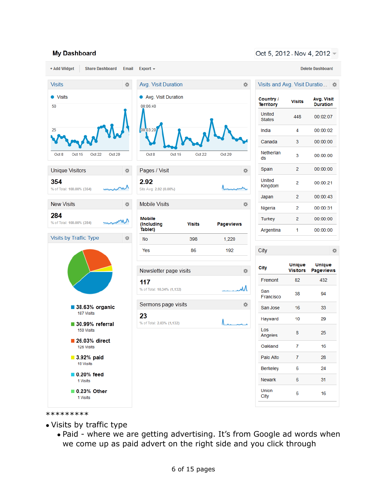#### **My Dashboard**



Oct 5, 2012 - Nov 4, 2012 -

#### \*\*\*\*\*\*\*\*\*

- Visits by traffic type
	- Paid where we are getting advertising. It's from Google ad words when we come up as paid advert on the right side and you click through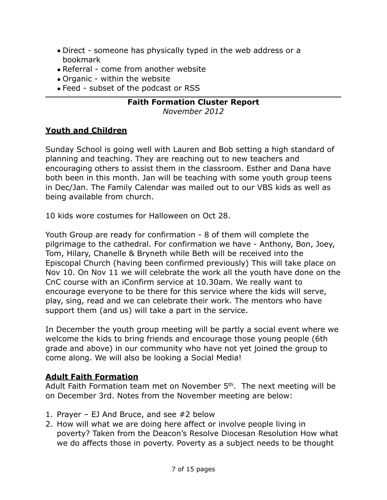- Direct someone has physically typed in the web address or a bookmark
- Referral come from another website
- Organic within the website
- Feed subset of the podcast or RSS

### **Faith Formation Cluster Report**

*November 2012*

## **Youth and Children**

Sunday School is going well with Lauren and Bob setting a high standard of planning and teaching. They are reaching out to new teachers and encouraging others to assist them in the classroom. Esther and Dana have both been in this month. Jan will be teaching with some youth group teens in Dec/Jan. The Family Calendar was mailed out to our VBS kids as well as being available from church.

10 kids wore costumes for Halloween on Oct 28.

Youth Group are ready for confirmation - 8 of them will complete the pilgrimage to the cathedral. For confirmation we have - Anthony, Bon, Joey, Tom, Hilary, Chanelle & Bryneth while Beth will be received into the Episcopal Church (having been confirmed previously) This will take place on Nov 10. On Nov 11 we will celebrate the work all the youth have done on the CnC course with an iConfirm service at 10.30am. We really want to encourage everyone to be there for this service where the kids will serve, play, sing, read and we can celebrate their work. The mentors who have support them (and us) will take a part in the service.

In December the youth group meeting will be partly a social event where we welcome the kids to bring friends and encourage those young people (6th grade and above) in our community who have not yet joined the group to come along. We will also be looking a Social Media!

## **Adult Faith Formation**

Adult Faith Formation team met on November 5<sup>th</sup>. The next meeting will be on December 3rd. Notes from the November meeting are below:

- 1. Prayer EJ And Bruce, and see #2 below
- 2. How will what we are doing here affect or involve people living in poverty? Taken from the Deacon's Resolve Diocesan Resolution How what we do affects those in poverty. Poverty as a subject needs to be thought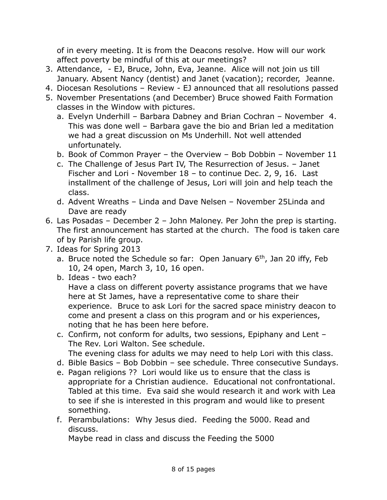of in every meeting. It is from the Deacons resolve. How will our work affect poverty be mindful of this at our meetings?

- 3. Attendance, EJ, Bruce, John, Eva, Jeanne. Alice will not join us till January. Absent Nancy (dentist) and Janet (vacation); recorder, Jeanne.
- 4. Diocesan Resolutions Review EJ announced that all resolutions passed
- 5. November Presentations (and December) Bruce showed Faith Formation classes in the Window with pictures.
	- a. Evelyn Underhill Barbara Dabney and Brian Cochran November 4. This was done well – Barbara gave the bio and Brian led a meditation we had a great discussion on Ms Underhill. Not well attended unfortunately.
	- b. Book of Common Prayer the Overview Bob Dobbin November 11
	- c. The Challenge of Jesus Part IV, The Resurrection of Jesus. Janet Fischer and Lori - November 18 – to continue Dec. 2, 9, 16. Last installment of the challenge of Jesus, Lori will join and help teach the class.
	- d. Advent Wreaths Linda and Dave Nelsen November 25Linda and Dave are ready
- 6. Las Posadas December 2 John Maloney. Per John the prep is starting. The first announcement has started at the church. The food is taken care of by Parish life group.
- 7. Ideas for Spring 2013
	- a. Bruce noted the Schedule so far: Open January  $6<sup>th</sup>$ , Jan 20 iffy, Feb 10, 24 open, March 3, 10, 16 open.
	- b. Ideas two each? Have a class on different poverty assistance programs that we have here at St James, have a representative come to share their experience. Bruce to ask Lori for the sacred space ministry deacon to come and present a class on this program and or his experiences, noting that he has been here before.
	- c. Confirm, not conform for adults, two sessions, Epiphany and Lent The Rev. Lori Walton. See schedule. The evening class for adults we may need to help Lori with this class.
	- d. Bible Basics Bob Dobbin see schedule. Three consecutive Sundays.
	- e. Pagan religions ?? Lori would like us to ensure that the class is
	- appropriate for a Christian audience. Educational not confrontational. Tabled at this time. Eva said she would research it and work with Lea to see if she is interested in this program and would like to present something.
	- f. Perambulations: Why Jesus died. Feeding the 5000. Read and discuss.

Maybe read in class and discuss the Feeding the 5000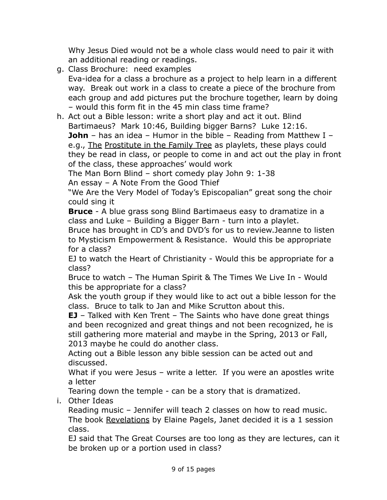Why Jesus Died would not be a whole class would need to pair it with an additional reading or readings.

- g. Class Brochure: need examples Eva-idea for a class a brochure as a project to help learn in a different way. Break out work in a class to create a piece of the brochure from each group and add pictures put the brochure together, learn by doing – would this form fit in the 45 min class time frame?
- h. Act out a Bible lesson: write a short play and act it out. Blind Bartimaeus? Mark 10:46, Building bigger Barns? Luke 12:16. **John** – has an idea – Humor in the bible – Reading from Matthew I – e.g., The Prostitute in the Family Tree as playlets, these plays could they be read in class, or people to come in and act out the play in front of the class, these approaches' would work

The Man Born Blind – short comedy play John 9: 1-38 An essay – A Note From the Good Thief

"We Are the Very Model of Today's Episcopalian" great song the choir could sing it

**Bruce** - A blue grass song Blind Bartimaeus easy to dramatize in a class and Luke – Building a Bigger Barn - turn into a playlet.

Bruce has brought in CD's and DVD's for us to review.Jeanne to listen to Mysticism Empowerment & Resistance. Would this be appropriate for a class?

EJ to watch the Heart of Christianity - Would this be appropriate for a class?

Bruce to watch – The Human Spirit & The Times We Live In - Would this be appropriate for a class?

Ask the youth group if they would like to act out a bible lesson for the class. Bruce to talk to Jan and Mike Scrutton about this.

**EJ** – Talked with Ken Trent – The Saints who have done great things and been recognized and great things and not been recognized, he is still gathering more material and maybe in the Spring, 2013 or Fall, 2013 maybe he could do another class.

Acting out a Bible lesson any bible session can be acted out and discussed.

What if you were Jesus - write a letter. If you were an apostles write a letter

Tearing down the temple - can be a story that is dramatized.

i. Other Ideas

Reading music – Jennifer will teach 2 classes on how to read music. The book Revelations by Elaine Pagels, Janet decided it is a 1 session class.

EJ said that The Great Courses are too long as they are lectures, can it be broken up or a portion used in class?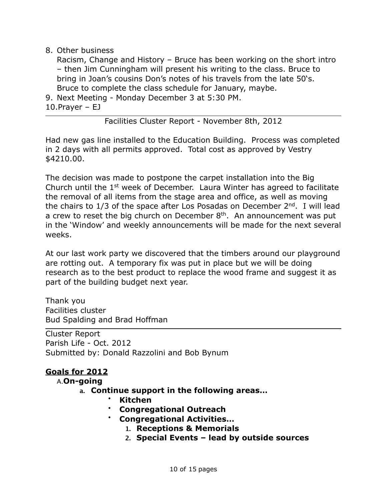#### 8. Other business

Racism, Change and History – Bruce has been working on the short intro – then Jim Cunningham will present his writing to the class. Bruce to bring in Joan's cousins Don's notes of his travels from the late 50's. Bruce to complete the class schedule for January, maybe.

- 9. Next Meeting Monday December 3 at 5:30 PM.
- 10.Prayer EJ

Facilities Cluster Report - November 8th, 2012

Had new gas line installed to the Education Building. Process was completed in 2 days with all permits approved. Total cost as approved by Vestry \$4210.00.

The decision was made to postpone the carpet installation into the Big Church until the  $1<sup>st</sup>$  week of December. Laura Winter has agreed to facilitate the removal of all items from the stage area and office, as well as moving the chairs to  $1/3$  of the space after Los Posadas on December  $2<sup>nd</sup>$ . I will lead a crew to reset the big church on December  $8<sup>th</sup>$ . An announcement was put in the 'Window' and weekly announcements will be made for the next several weeks.

At our last work party we discovered that the timbers around our playground are rotting out. A temporary fix was put in place but we will be doing research as to the best product to replace the wood frame and suggest it as part of the building budget next year.

Thank you Facilities cluster Bud Spalding and Brad Hoffman

Cluster Report Parish Life - Oct. 2012 Submitted by: Donald Razzolini and Bob Bynum

### **Goals for 2012**

#### A.**On-going**

- **a. Continue support in the following areas…**
	- **Kitchen**
	- **Congregational Outreach**
	- **Congregational Activities…**
		- **1. Receptions & Memorials**
		- **2. Special Events lead by outside sources**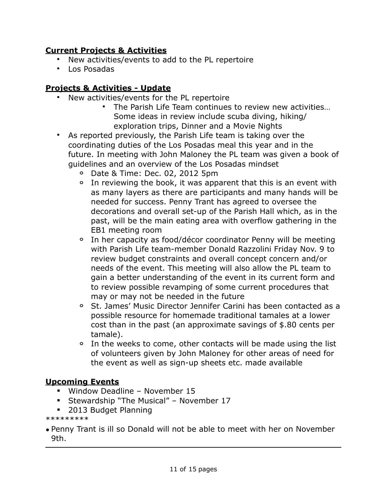### **Current Projects & Activities**

- New activities/events to add to the PL repertoire
- Los Posadas

## **Projects & Activities - Update**

- New activities/events for the PL repertoire
	- The Parish Life Team continues to review new activities… Some ideas in review include scuba diving, hiking/ exploration trips, Dinner and a Movie Nights
- As reported previously, the Parish Life team is taking over the coordinating duties of the Los Posadas meal this year and in the future. In meeting with John Maloney the PL team was given a book of guidelines and an overview of the Los Posadas mindset
	- **o** Date & Time: Dec. 02, 2012 5pm
	- **o** In reviewing the book, it was apparent that this is an event with as many layers as there are participants and many hands will be needed for success. Penny Trant has agreed to oversee the decorations and overall set-up of the Parish Hall which, as in the past, will be the main eating area with overflow gathering in the EB1 meeting room
	- **o** In her capacity as food/décor coordinator Penny will be meeting with Parish Life team-member Donald Razzolini Friday Nov. 9 to review budget constraints and overall concept concern and/or needs of the event. This meeting will also allow the PL team to gain a better understanding of the event in its current form and to review possible revamping of some current procedures that may or may not be needed in the future
	- **o** St. James' Music Director Jennifer Carini has been contacted as a possible resource for homemade traditional tamales at a lower cost than in the past (an approximate savings of \$.80 cents per tamale).
	- **o** In the weeks to come, other contacts will be made using the list of volunteers given by John Maloney for other areas of need for the event as well as sign-up sheets etc. made available

## **Upcoming Events**

- Window Deadline November 15
- **Stewardship "The Musical" November 17**
- 2013 Budget Planning

\*\*\*\*\*\*\*\*\*

• Penny Trant is ill so Donald will not be able to meet with her on November 9th.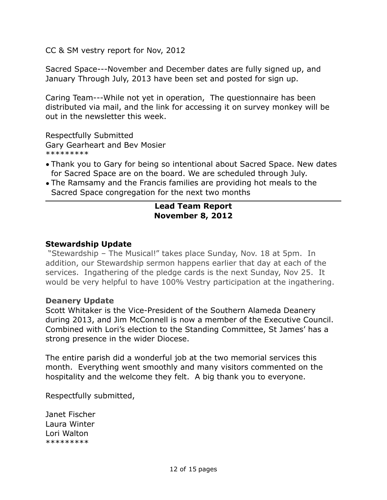CC & SM vestry report for Nov, 2012

Sacred Space---November and December dates are fully signed up, and January Through July, 2013 have been set and posted for sign up.

Caring Team---While not yet in operation, The questionnaire has been distributed via mail, and the link for accessing it on survey monkey will be out in the newsletter this week.

Respectfully Submitted Gary Gearheart and Bev Mosier \*\*\*\*\*\*\*\*\*

- Thank you to Gary for being so intentional about Sacred Space. New dates for Sacred Space are on the board. We are scheduled through July.
- The Ramsamy and the Francis families are providing hot meals to the Sacred Space congregation for the next two months

#### **Lead Team Report November 8, 2012**

#### **Stewardship Update**

 "Stewardship – The Musical!" takes place Sunday, Nov. 18 at 5pm. In addition, our Stewardship sermon happens earlier that day at each of the services. Ingathering of the pledge cards is the next Sunday, Nov 25. It would be very helpful to have 100% Vestry participation at the ingathering.

#### **Deanery Update**

Scott Whitaker is the Vice-President of the Southern Alameda Deanery during 2013, and Jim McConnell is now a member of the Executive Council. Combined with Lori's election to the Standing Committee, St James' has a strong presence in the wider Diocese.

The entire parish did a wonderful job at the two memorial services this month. Everything went smoothly and many visitors commented on the hospitality and the welcome they felt. A big thank you to everyone.

Respectfully submitted,

Janet Fischer Laura Winter Lori Walton \*\*\*\*\*\*\*\*\*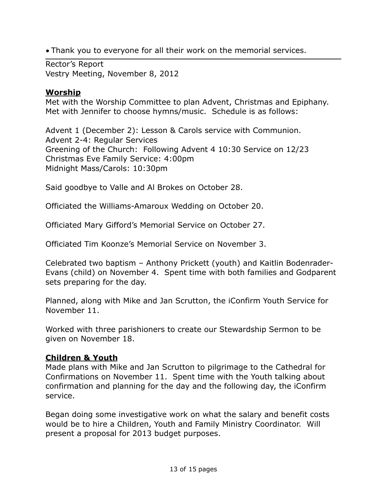• Thank you to everyone for all their work on the memorial services.

Rector's Report Vestry Meeting, November 8, 2012

### **Worship**

Met with the Worship Committee to plan Advent, Christmas and Epiphany. Met with Jennifer to choose hymns/music. Schedule is as follows:

Advent 1 (December 2): Lesson & Carols service with Communion. Advent 2-4: Regular Services Greening of the Church: Following Advent 4 10:30 Service on 12/23 Christmas Eve Family Service: 4:00pm Midnight Mass/Carols: 10:30pm

Said goodbye to Valle and Al Brokes on October 28.

Officiated the Williams-Amaroux Wedding on October 20.

Officiated Mary Gifford's Memorial Service on October 27.

Officiated Tim Koonze's Memorial Service on November 3.

Celebrated two baptism – Anthony Prickett (youth) and Kaitlin Bodenrader-Evans (child) on November 4. Spent time with both families and Godparent sets preparing for the day.

Planned, along with Mike and Jan Scrutton, the iConfirm Youth Service for November 11.

Worked with three parishioners to create our Stewardship Sermon to be given on November 18.

### **Children & Youth**

Made plans with Mike and Jan Scrutton to pilgrimage to the Cathedral for Confirmations on November 11. Spent time with the Youth talking about confirmation and planning for the day and the following day, the iConfirm service.

Began doing some investigative work on what the salary and benefit costs would be to hire a Children, Youth and Family Ministry Coordinator. Will present a proposal for 2013 budget purposes.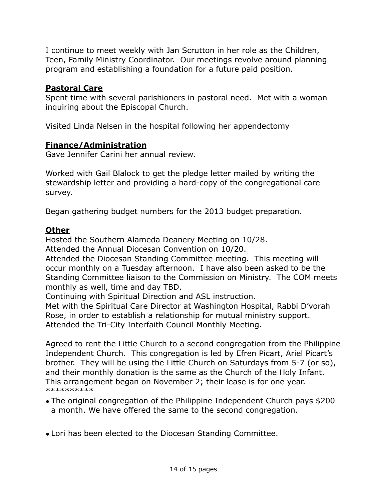I continue to meet weekly with Jan Scrutton in her role as the Children, Teen, Family Ministry Coordinator. Our meetings revolve around planning program and establishing a foundation for a future paid position.

### **Pastoral Care**

Spent time with several parishioners in pastoral need. Met with a woman inquiring about the Episcopal Church.

Visited Linda Nelsen in the hospital following her appendectomy

### **Finance/Administration**

Gave Jennifer Carini her annual review.

Worked with Gail Blalock to get the pledge letter mailed by writing the stewardship letter and providing a hard-copy of the congregational care survey.

Began gathering budget numbers for the 2013 budget preparation.

### **Other**

Hosted the Southern Alameda Deanery Meeting on 10/28.

Attended the Annual Diocesan Convention on 10/20.

Attended the Diocesan Standing Committee meeting. This meeting will occur monthly on a Tuesday afternoon. I have also been asked to be the Standing Committee liaison to the Commission on Ministry. The COM meets monthly as well, time and day TBD.

Continuing with Spiritual Direction and ASL instruction.

Met with the Spiritual Care Director at Washington Hospital, Rabbi D'vorah Rose, in order to establish a relationship for mutual ministry support. Attended the Tri-City Interfaith Council Monthly Meeting.

Agreed to rent the Little Church to a second congregation from the Philippine Independent Church. This congregation is led by Efren Picart, Ariel Picart's brother. They will be using the Little Church on Saturdays from 5-7 (or so), and their monthly donation is the same as the Church of the Holy Infant. This arrangement began on November 2; their lease is for one year. \*\*\*\*\*\*\*\*\*\*

- The original congregation of the Philippine Independent Church pays \$200 a month. We have offered the same to the second congregation.
- Lori has been elected to the Diocesan Standing Committee.